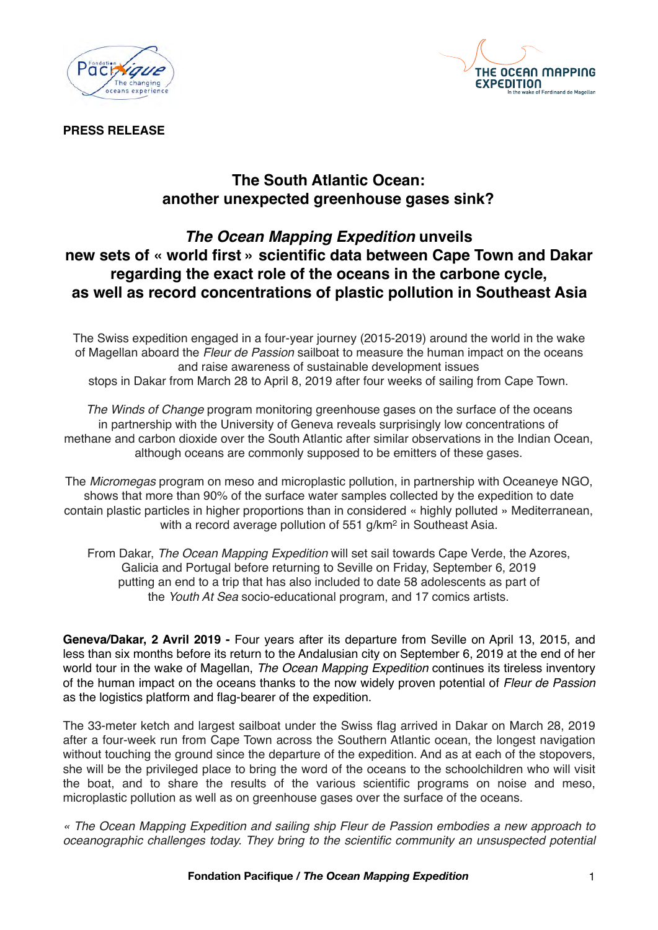



**PRESS RELEASE**

# **The South Atlantic Ocean: another unexpected greenhouse gases sink?**

## *The Ocean Mapping Expedition* **unveils new sets of « world first » scientific data between Cape Town and Dakar regarding the exact role of the oceans in the carbone cycle, as well as record concentrations of plastic pollution in Southeast Asia**

The Swiss expedition engaged in a four-year journey (2015-2019) around the world in the wake of Magellan aboard the *Fleur de Passion* sailboat to measure the human impact on the oceans and raise awareness of sustainable development issues stops in Dakar from March 28 to April 8, 2019 after four weeks of sailing from Cape Town.

*The Winds of Change* program monitoring greenhouse gases on the surface of the oceans in partnership with the University of Geneva reveals surprisingly low concentrations of methane and carbon dioxide over the South Atlantic after similar observations in the Indian Ocean, although oceans are commonly supposed to be emitters of these gases.

The *Micromegas* program on meso and microplastic pollution, in partnership with Oceaneye NGO, shows that more than 90% of the surface water samples collected by the expedition to date contain plastic particles in higher proportions than in considered « highly polluted » Mediterranean, with a record average pollution of 551 g/km<sup>2</sup> in Southeast Asia.

From Dakar, *The Ocean Mapping Expedition* will set sail towards Cape Verde, the Azores, Galicia and Portugal before returning to Seville on Friday, September 6, 2019 putting an end to a trip that has also included to date 58 adolescents as part of the *Youth At Sea* socio-educational program, and 17 comics artists.

**Geneva/Dakar, 2 Avril 2019 -** Four years after its departure from Seville on April 13, 2015, and less than six months before its return to the Andalusian city on September 6, 2019 at the end of her world tour in the wake of Magellan, *The Ocean Mapping Expedition* continues its tireless inventory of the human impact on the oceans thanks to the now widely proven potential of *Fleur de Passion*  as the logistics platform and flag-bearer of the expedition.

The 33-meter ketch and largest sailboat under the Swiss flag arrived in Dakar on March 28, 2019 after a four-week run from Cape Town across the Southern Atlantic ocean, the longest navigation without touching the ground since the departure of the expedition. And as at each of the stopovers, she will be the privileged place to bring the word of the oceans to the schoolchildren who will visit the boat, and to share the results of the various scientific programs on noise and meso, microplastic pollution as well as on greenhouse gases over the surface of the oceans.

*« The Ocean Mapping Expedition and sailing ship Fleur de Passion embodies a new approach to oceanographic challenges today. They bring to the scientific community an unsuspected potential*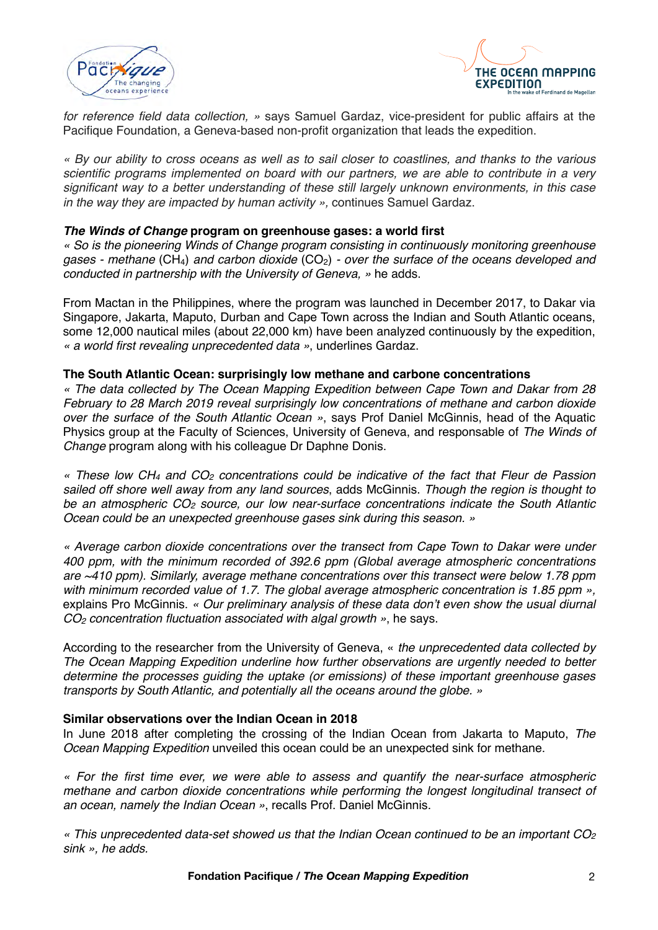



*for reference field data collection, »* says Samuel Gardaz, vice-president for public affairs at the Pacifique Foundation, a Geneva-based non-profit organization that leads the expedition.

*« By our ability to cross oceans as well as to sail closer to coastlines, and thanks to the various scientific programs implemented on board with our partners, we are able to contribute in a very significant way to a better understanding of these still largely unknown environments, in this case in the way they are impacted by human activity »,* continues Samuel Gardaz.

#### *The Winds of Change* **program on greenhouse gases: a world first**

*« So is the pioneering Winds of Change program consisting in continuously monitoring greenhouse gases - methane* (CH4) *and carbon dioxide* (CO2) *- over the surface of the oceans developed and conducted in partnership with the University of Geneva, »* he adds.

From Mactan in the Philippines, where the program was launched in December 2017, to Dakar via Singapore, Jakarta, Maputo, Durban and Cape Town across the Indian and South Atlantic oceans, some 12,000 nautical miles (about 22,000 km) have been analyzed continuously by the expedition, *« a world first revealing unprecedented data »*, underlines Gardaz.

#### **The South Atlantic Ocean: surprisingly low methane and carbone concentrations**

*« The data collected by The Ocean Mapping Expedition between Cape Town and Dakar from 28 February to 28 March 2019 reveal surprisingly low concentrations of methane and carbon dioxide over the surface of the South Atlantic Ocean »*, says Prof Daniel McGinnis, head of the Aquatic Physics group at the Faculty of Sciences, University of Geneva, and responsable of *The Winds of Change* program along with his colleague Dr Daphne Donis.

*« These low CH4 and CO2 concentrations could be indicative of the fact that Fleur de Passion sailed off shore well away from any land sources*, adds McGinnis. *Though the region is thought to be an atmospheric CO2 source, our low near-surface concentrations indicate the South Atlantic Ocean could be an unexpected greenhouse gases sink during this season. »*

*« Average carbon dioxide concentrations over the transect from Cape Town to Dakar were under 400 ppm, with the minimum recorded of 392.6 ppm (Global average atmospheric concentrations are ~410 ppm). Similarly, average methane concentrations over this transect were below 1.78 ppm with minimum recorded value of 1.7. The global average atmospheric concentration is 1.85 ppm »,*  explains Pro McGinnis. *« Our preliminary analysis of these data don't even show the usual diurnal CO2 concentration fluctuation associated with algal growth »*, he says.

According to the researcher from the University of Geneva, « *the unprecedented data collected by The Ocean Mapping Expedition underline how further observations are urgently needed to better determine the processes guiding the uptake (or emissions) of these important greenhouse gases transports by South Atlantic, and potentially all the oceans around the globe. »*

#### **Similar observations over the Indian Ocean in 2018**

In June 2018 after completing the crossing of the Indian Ocean from Jakarta to Maputo, *The Ocean Mapping Expedition* unveiled this ocean could be an unexpected sink for methane.

*« For the first time ever, we were able to assess and quantify the near-surface atmospheric methane and carbon dioxide concentrations while performing the longest longitudinal transect of an ocean, namely the Indian Ocean »*, recalls Prof. Daniel McGinnis.

*« This unprecedented data-set showed us that the Indian Ocean continued to be an important CO2 sink », he adds.*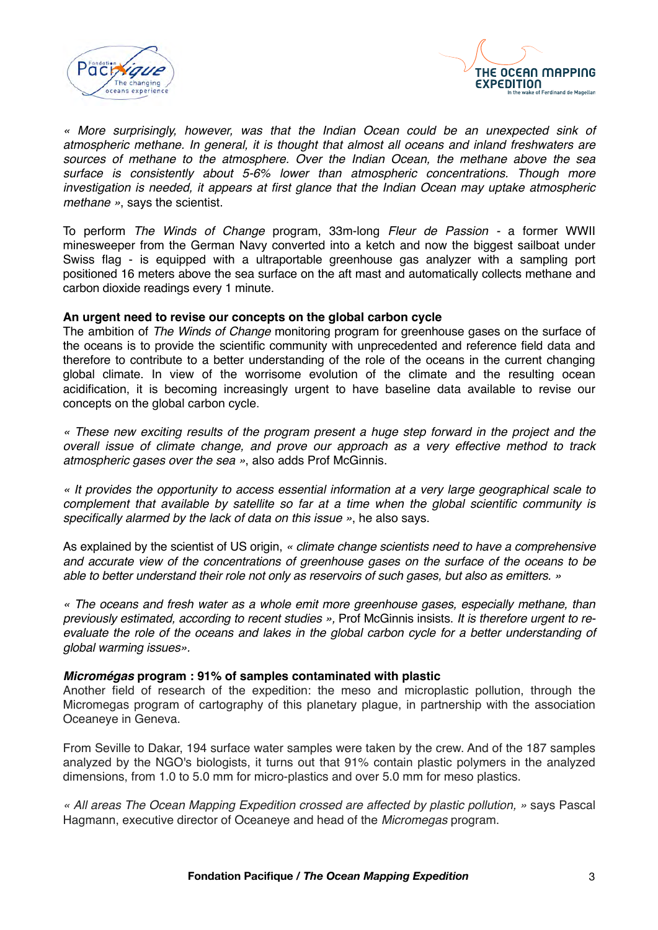



*« More surprisingly, however, was that the Indian Ocean could be an unexpected sink of atmospheric methane. In general, it is thought that almost all oceans and inland freshwaters are sources of methane to the atmosphere. Over the Indian Ocean, the methane above the sea surface is consistently about 5-6% lower than atmospheric concentrations. Though more investigation is needed, it appears at first glance that the Indian Ocean may uptake atmospheric methane »*, says the scientist.

To perform *The Winds of Change* program, 33m-long *Fleur de Passion -* a former WWII minesweeper from the German Navy converted into a ketch and now the biggest sailboat under Swiss flag - is equipped with a ultraportable greenhouse gas analyzer with a sampling port positioned 16 meters above the sea surface on the aft mast and automatically collects methane and carbon dioxide readings every 1 minute.

#### **An urgent need to revise our concepts on the global carbon cycle**

The ambition of *The Winds of Change* monitoring program for greenhouse gases on the surface of the oceans is to provide the scientific community with unprecedented and reference field data and therefore to contribute to a better understanding of the role of the oceans in the current changing global climate. In view of the worrisome evolution of the climate and the resulting ocean acidification, it is becoming increasingly urgent to have baseline data available to revise our concepts on the global carbon cycle.

*« These new exciting results of the program present a huge step forward in the project and the overall issue of climate change, and prove our approach as a very effective method to track atmospheric gases over the sea »*, also adds Prof McGinnis.

*« It provides the opportunity to access essential information at a very large geographical scale to complement that available by satellite so far at a time when the global scientific community is specifically alarmed by the lack of data on this issue »*, he also says.

As explained by the scientist of US origin, *« climate change scientists need to have a comprehensive and accurate view of the concentrations of greenhouse gases on the surface of the oceans to be able to better understand their role not only as reservoirs of such gases, but also as emitters. »*

*« The oceans and fresh water as a whole emit more greenhouse gases, especially methane, than previously estimated, according to recent studies »,* Prof McGinnis insists. *It is therefore urgent to reevaluate the role of the oceans and lakes in the global carbon cycle for a better understanding of global warming issues».*

#### *Micromégas* **program : 91% of samples contaminated with plastic**

Another field of research of the expedition: the meso and microplastic pollution, through the Micromegas program of cartography of this planetary plague, in partnership with the association Oceaneye in Geneva.

From Seville to Dakar, 194 surface water samples were taken by the crew. And of the 187 samples analyzed by the NGO's biologists, it turns out that 91% contain plastic polymers in the analyzed dimensions, from 1.0 to 5.0 mm for micro-plastics and over 5.0 mm for meso plastics.

*« All areas The Ocean Mapping Expedition crossed are affected by plastic pollution, »* says Pascal Hagmann, executive director of Oceaneye and head of the *Micromegas* program.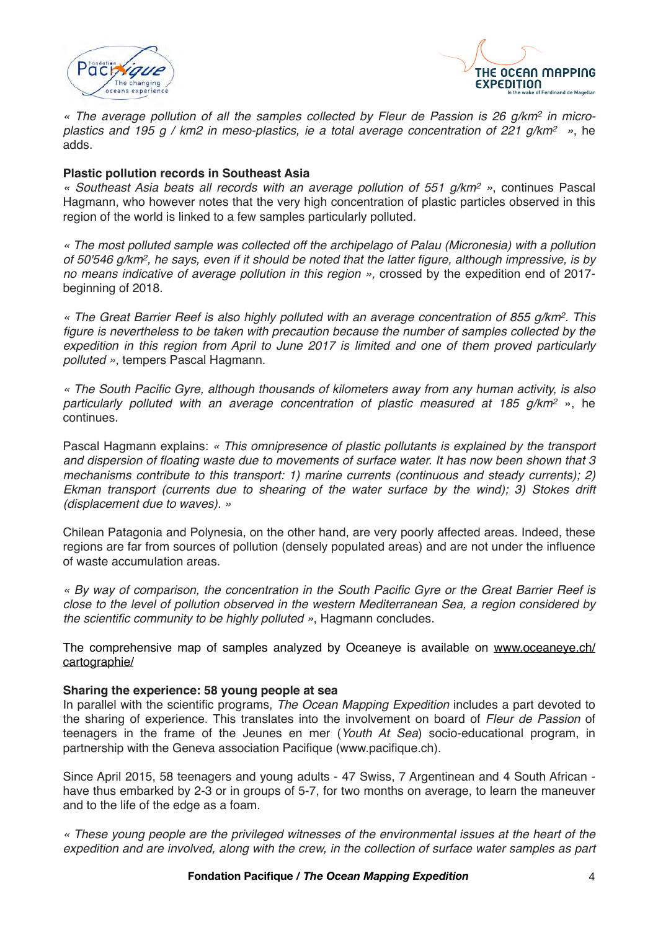



*« The average pollution of all the samples collected by Fleur de Passion is 26 g/km2 in microplastics and 195 g / km2 in meso-plastics, ie a total average concentration of 221 g/km2 »*, he adds.

### **Plastic pollution records in Southeast Asia**

*« Southeast Asia beats all records with an average pollution of 551 g/km2 »*, continues Pascal Hagmann, who however notes that the very high concentration of plastic particles observed in this region of the world is linked to a few samples particularly polluted.

*« The most polluted sample was collected off the archipelago of Palau (Micronesia) with a pollution of 50'546 g/km2, he says, even if it should be noted that the latter figure, although impressive, is by no means indicative of average pollution in this region »,* crossed by the expedition end of 2017 beginning of 2018.

*« The Great Barrier Reef is also highly polluted with an average concentration of 855 g/km2. This*  figure is nevertheless to be taken with precaution because the number of samples collected by the *expedition in this region from April to June 2017 is limited and one of them proved particularly polluted »*, tempers Pascal Hagmann.

*« The South Pacific Gyre, although thousands of kilometers away from any human activity, is also particularly polluted with an average concentration of plastic measured at 185 g/km2* », he continues.

Pascal Hagmann explains: *« This omnipresence of plastic pollutants is explained by the transport and dispersion of floating waste due to movements of surface water. It has now been shown that 3 mechanisms contribute to this transport: 1) marine currents (continuous and steady currents); 2) Ekman transport (currents due to shearing of the water surface by the wind); 3) Stokes drift (displacement due to waves). »*

Chilean Patagonia and Polynesia, on the other hand, are very poorly affected areas. Indeed, these regions are far from sources of pollution (densely populated areas) and are not under the influence of waste accumulation areas.

*« By way of comparison, the concentration in the South Pacific Gyre or the Great Barrier Reef is close to the level of pollution observed in the western Mediterranean Sea, a region considered by the scientific community to be highly polluted »*, Hagmann concludes.

The comprehensive map of samples analyzed by Oceaneye is available on [www.oceaneye.ch/](http://www.oceaneye.ch/cartographie/) [cartographie/](http://www.oceaneye.ch/cartographie/)

#### **Sharing the experience: 58 young people at sea**

In parallel with the scientific programs, *The Ocean Mapping Expedition* includes a part devoted to the sharing of experience. This translates into the involvement on board of *Fleur de Passion* of teenagers in the frame of the Jeunes en mer (*Youth At Sea*) socio-educational program, in partnership with the Geneva association Pacifique (www.pacifique.ch).

Since April 2015, 58 teenagers and young adults - 47 Swiss, 7 Argentinean and 4 South African have thus embarked by 2-3 or in groups of 5-7, for two months on average, to learn the maneuver and to the life of the edge as a foam.

*« These young people are the privileged witnesses of the environmental issues at the heart of the expedition and are involved, along with the crew, in the collection of surface water samples as part*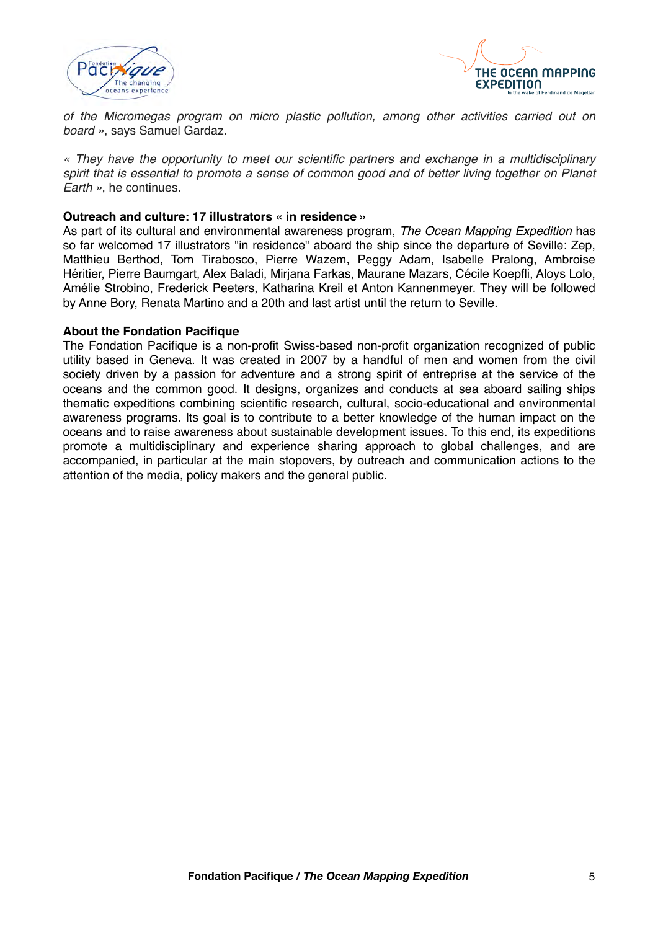



*of the Micromegas program on micro plastic pollution, among other activities carried out on board »*, says Samuel Gardaz.

*« They have the opportunity to meet our scientific partners and exchange in a multidisciplinary spirit that is essential to promote a sense of common good and of better living together on Planet Earth »*, he continues.

#### **Outreach and culture: 17 illustrators « in residence »**

As part of its cultural and environmental awareness program, *The Ocean Mapping Expedition* has so far welcomed 17 illustrators "in residence" aboard the ship since the departure of Seville: Zep, Matthieu Berthod, Tom Tirabosco, Pierre Wazem, Peggy Adam, Isabelle Pralong, Ambroise Héritier, Pierre Baumgart, Alex Baladi, Mirjana Farkas, Maurane Mazars, Cécile Koepfli, Aloys Lolo, Amélie Strobino, Frederick Peeters, Katharina Kreil et Anton Kannenmeyer. They will be followed by Anne Bory, Renata Martino and a 20th and last artist until the return to Seville.

#### **About the Fondation Pacifique**

The Fondation Pacifique is a non-profit Swiss-based non-profit organization recognized of public utility based in Geneva. It was created in 2007 by a handful of men and women from the civil society driven by a passion for adventure and a strong spirit of entreprise at the service of the oceans and the common good. It designs, organizes and conducts at sea aboard sailing ships thematic expeditions combining scientific research, cultural, socio-educational and environmental awareness programs. Its goal is to contribute to a better knowledge of the human impact on the oceans and to raise awareness about sustainable development issues. To this end, its expeditions promote a multidisciplinary and experience sharing approach to global challenges, and are accompanied, in particular at the main stopovers, by outreach and communication actions to the attention of the media, policy makers and the general public.